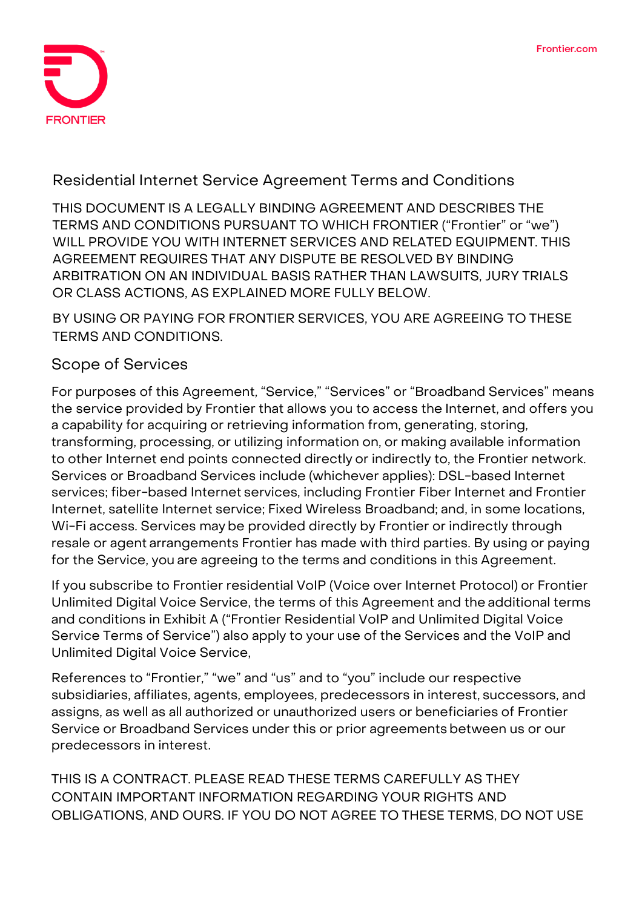

## **Residential Internet Service Agreement Terms and Conditions**

**THIS DOCUMENT IS A LEGALLY BINDING AGREEMENT AND DESCRIBES THE TERMS AND CONDITIONS PURSUANT TO WHICH FRONTIER ("Frontier" or "we") WILL PROVIDE YOU WITH INTERNET SERVICES AND RELATED EQUIPMENT. THIS AGREEMENT REQUIRES THAT ANY DISPUTE BE RESOLVED BY BINDING ARBITRATION ON AN INDIVIDUAL BASIS RATHER THAN LAWSUITS, JURY TRIALS OR CLASS ACTIONS, AS EXPLAINED MORE FULLY BELOW.**

**BY USING OR PAYING FOR FRONTIER SERVICES, YOU ARE AGREEING TO THESE TERMS AND CONDITIONS.**

## **Scope of Services**

For purposes of this Agreement, "Service," "Services" or "Broadband Services" means the service provided by Frontier that allows you to access the Internet, and offers you a capability for acquiring or retrieving information from, generating, storing, transforming, processing, or utilizing information on, or making available information to other Internet end points connected directly or indirectly to, the Frontier network. Services or Broadband Services include (whichever applies): DSL-based Internet services; fiber-based Internet services, including Frontier Fiber Internet and Frontier Internet, satellite Internet service; Fixed Wireless Broadband; and, in some locations, Wi-Fi access. Services may be provided directly by Frontier or indirectly through resale or agent arrangements Frontier has made with third parties. By using or paying for the Service, you are agreeing to the terms and conditions in this Agreement.

If you subscribe to Frontier residential VoIP (Voice over Internet Protocol) or Frontier Unlimited Digital Voice Service, the terms of this Agreement and the additional terms and conditions in Exhibit A ("Frontier Residential VoIP and Unlimited Digital Voice Service Terms of Service") also apply to your use of the Services and the VoIP and Unlimited Digital Voice Service,

References to "Frontier," "we" and "us" and to "you" include our respective subsidiaries, affiliates, agents, employees, predecessors in interest, successors, and assigns, as well as all authorized or unauthorized users or beneficiaries of Frontier Service or Broadband Services under this or prior agreements between us or our predecessors in interest.

**THIS IS A CONTRACT. PLEASE READ THESE TERMS CAREFULLY AS THEY CONTAIN IMPORTANT INFORMATION REGARDING YOUR RIGHTS AND OBLIGATIONS, AND OURS. IF YOU DO NOT AGREE TO THESE TERMS, DO NOT USE**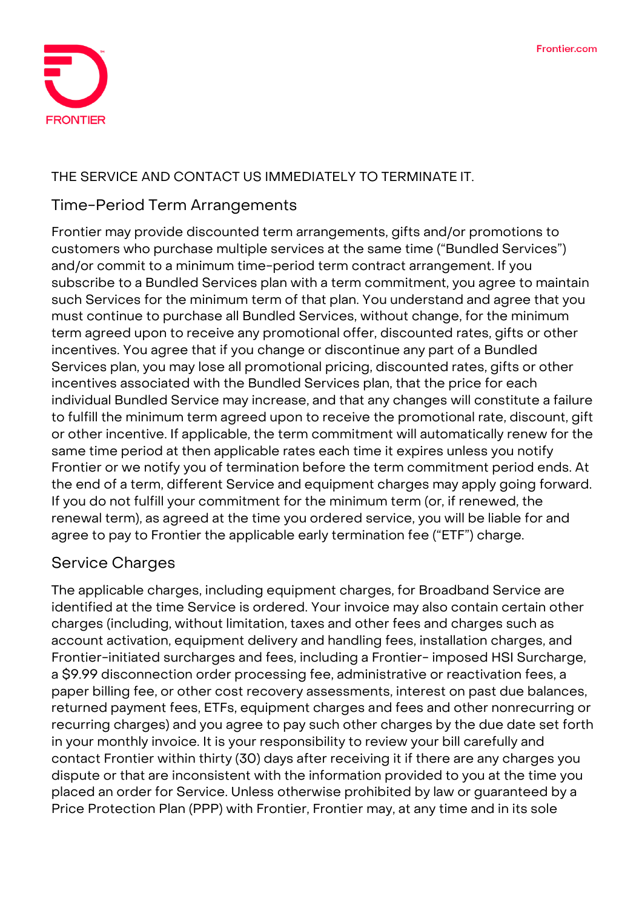

#### **THE SERVICE AND CONTACT US IMMEDIATELY TO TERMINATE IT.**

#### **Time-Period Term Arrangements**

Frontier may provide discounted term arrangements, gifts and/or promotions to customers who purchase multiple services at the same time ("Bundled Services") and/or commit to a minimum time-period term contract arrangement. If you subscribe to a Bundled Services plan with a term commitment, you agree to maintain such Services for the minimum term of that plan. You understand and agree that you must continue to purchase all Bundled Services, without change, for the minimum term agreed upon to receive any promotional offer, discounted rates, gifts or other incentives. You agree that if you change or discontinue any part of a Bundled Services plan, you may lose all promotional pricing, discounted rates, gifts or other incentives associated with the Bundled Services plan, that the price for each individual Bundled Service may increase, and that any changes will constitute a failure to fulfill the minimum term agreed upon to receive the promotional rate, discount, gift or other incentive. If applicable, the term commitment will automatically renew for the same time period at then applicable rates each time it expires unless you notify Frontier or we notify you of termination before the term commitment period ends. At the end of a term, different Service and equipment charges may apply going forward. If you do not fulfill your commitment for the minimum term (or, if renewed, the renewal term), as agreed at the time you ordered service, you will be liable for and agree to pay to Frontier the applicable early termination fee ("ETF") charge.

# **Service Charges**

The applicable charges, including equipment charges, for Broadband Service are identified at the time Service is ordered. Your invoice may also contain certain other charges (including, without limitation, taxes and other fees and charges such as account activation, equipment delivery and handling fees, installation charges, and Frontier-initiated surcharges and fees, including a Frontier- imposed HSI Surcharge, a \$9.99 disconnection order processing fee, administrative or reactivation fees, a paper billing fee, or other cost recovery assessments, interest on past due balances, returned payment fees, ETFs, equipment charges and fees and other nonrecurring or recurring charges) and you agree to pay such other charges by the due date set forth in your monthly invoice. It is your responsibility to review your bill carefully and contact Frontier within thirty (30) days after receiving it if there are any charges you dispute or that are inconsistent with the information provided to you at the time you placed an order for Service. Unless otherwise prohibited by law or guaranteed by a Price Protection Plan (PPP) with Frontier, Frontier may, at any time and in its sole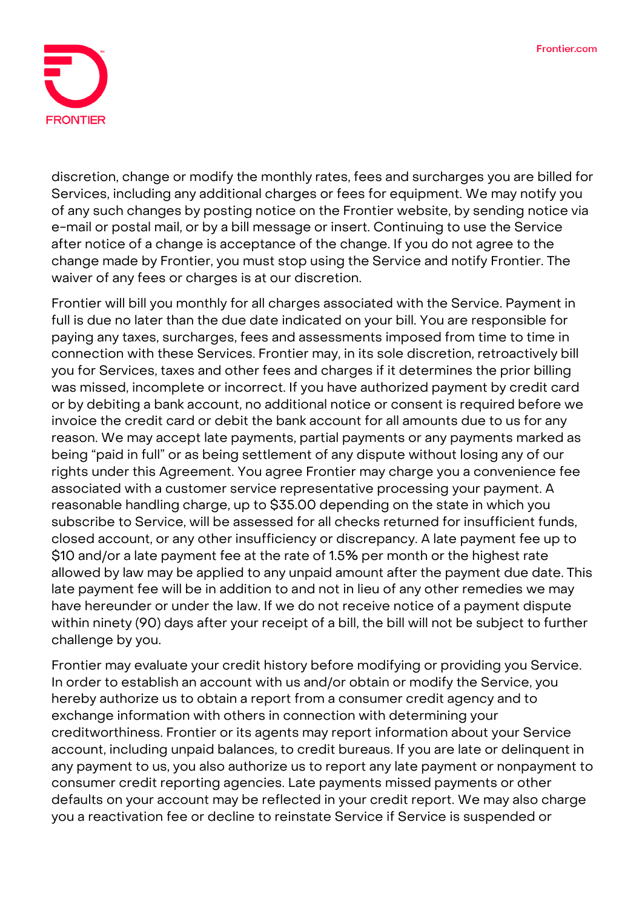

discretion, change or modify the monthly rates, fees and surcharges you are billed for Services, including any additional charges or fees for equipment. We may notify you of any such changes by posting notice on the Frontier website, by sending notice via e-mail or postal mail, or by a bill message or insert. Continuing to use the Service after notice of a change is acceptance of the change. If you do not agree to the change made by Frontier, you must stop using the Service and notify Frontier. The waiver of any fees or charges is at our discretion.

Frontier will bill you monthly for all charges associated with the Service. Payment in full is due no later than the due date indicated on your bill. You are responsible for paying any taxes, surcharges, fees and assessments imposed from time to time in connection with these Services. Frontier may, in its sole discretion, retroactively bill you for Services, taxes and other fees and charges if it determines the prior billing was missed, incomplete or incorrect. If you have authorized payment by credit card or by debiting a bank account, no additional notice or consent is required before we invoice the credit card or debit the bank account for all amounts due to us for any reason. We may accept late payments, partial payments or any payments marked as being "paid in full" or as being settlement of any dispute without losing any of our rights under this Agreement. You agree Frontier may charge you a convenience fee associated with a customer service representative processing your payment. A reasonable handling charge, up to \$35.00 depending on the state in which you subscribe to Service, will be assessed for all checks returned for insufficient funds, closed account, or any other insufficiency or discrepancy. A late payment fee up to \$10 and/or a late payment fee at the rate of 1.5% per month or the highest rate allowed by law may be applied to any unpaid amount after the payment due date. This late payment fee will be in addition to and not in lieu of any other remedies we may have hereunder or under the law. If we do not receive notice of a payment dispute within ninety (90) days after your receipt of a bill, the bill will not be subject to further challenge by you.

Frontier may evaluate your credit history before modifying or providing you Service. In order to establish an account with us and/or obtain or modify the Service, you hereby authorize us to obtain a report from a consumer credit agency and to exchange information with others in connection with determining your creditworthiness. Frontier or its agents may report information about your Service account, including unpaid balances, to credit bureaus. If you are late or delinquent in any payment to us, you also authorize us to report any late payment or nonpayment to consumer credit reporting agencies. Late payments missed payments or other defaults on your account may be reflected in your credit report. We may also charge you a reactivation fee or decline to reinstate Service if Service is suspended or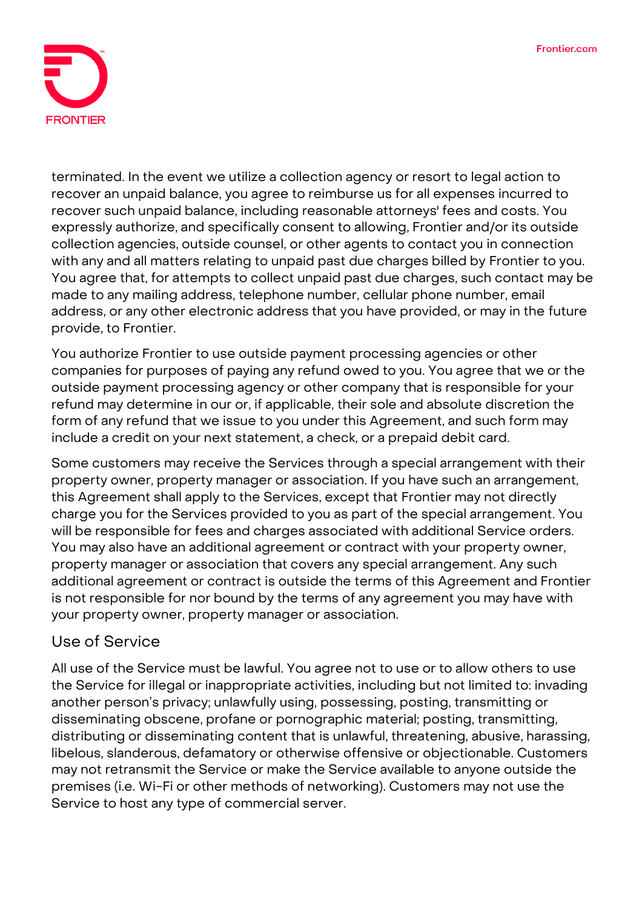

terminated. In the event we utilize a collection agency or resort to legal action to recover an unpaid balance, you agree to reimburse us for all expenses incurred to recover such unpaid balance, including reasonable attorneys' fees and costs. You expressly authorize, and specifically consent to allowing, Frontier and/or its outside collection agencies, outside counsel, or other agents to contact you in connection with any and all matters relating to unpaid past due charges billed by Frontier to you. You agree that, for attempts to collect unpaid past due charges, such contact may be made to any mailing address, telephone number, cellular phone number, email address, or any other electronic address that you have provided, or may in the future provide, to Frontier.

You authorize Frontier to use outside payment processing agencies or other companies for purposes of paying any refund owed to you. You agree that we or the outside payment processing agency or other company that is responsible for your refund may determine in our or, if applicable, their sole and absolute discretion the form of any refund that we issue to you under this Agreement, and such form may include a credit on your next statement, a check, or a prepaid debit card.

Some customers may receive the Services through a special arrangement with their property owner, property manager or association. If you have such an arrangement, this Agreement shall apply to the Services, except that Frontier may not directly charge you for the Services provided to you as part of the special arrangement. You will be responsible for fees and charges associated with additional Service orders. You may also have an additional agreement or contract with your property owner, property manager or association that covers any special arrangement. Any such additional agreement or contract is outside the terms of this Agreement and Frontier is not responsible for nor bound by the terms of any agreement you may have with your property owner, property manager or association.

#### **Use of Service**

All use of the Service must be lawful. You agree not to use or to allow others to use the Service for illegal or inappropriate activities, including but not limited to: invading another person's privacy; unlawfully using, possessing, posting, transmitting or disseminating obscene, profane or pornographic material; posting, transmitting, distributing or disseminating content that is unlawful, threatening, abusive, harassing, libelous, slanderous, defamatory or otherwise offensive or objectionable. Customers may not retransmit the Service or make the Service available to anyone outside the premises (i.e. Wi-Fi or other methods of networking). Customers may not use the Service to host any type of commercial server.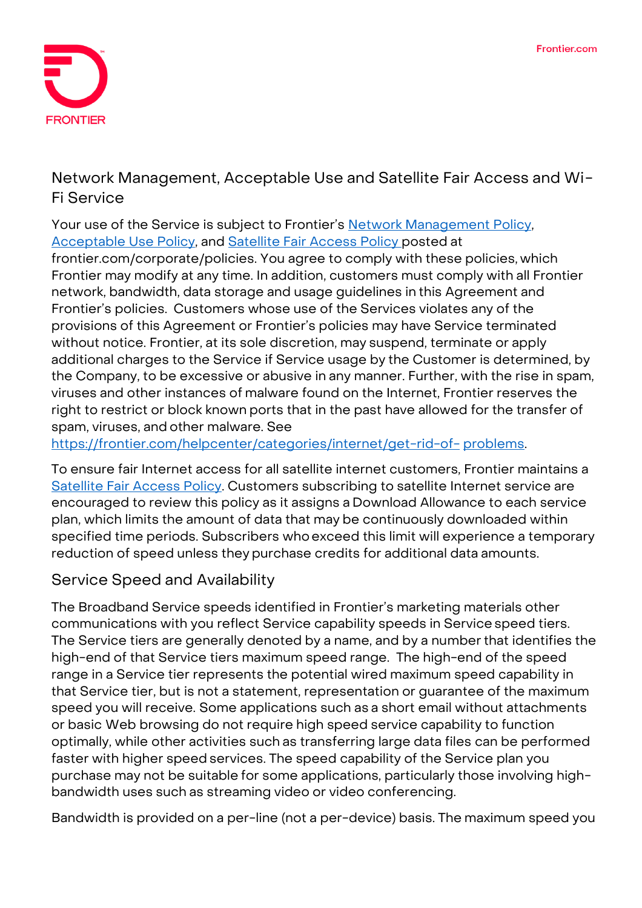

# **Network Management, Acceptable Use and Satellite Fair Access and Wi-Fi Service**

Your use of the Service is subject to Frontier's [Network Management](https://frontier.com/~/media/corporate/policies/network-management-policy.ashx?la=en) Policy, [Acceptable Use Policy,](https://frontier.com/~/media/corporate/policies/aup-residential.ashx?la=en) and [Satellite Fair Access Policy p](https://frontier.com/~/media/corporate/policies/frontier-broadband-fair-access-policy-satellite.ashx?la=en)osted at

frontier.com/corporate/policies. You agree to comply with these policies, which Frontier may modify at any time. In addition, customers must comply with all Frontier network, bandwidth, data storage and usage guidelines in this Agreement and Frontier's policies. Customers whose use of the Services violates any of the provisions of this Agreement or Frontier's policies may have Service terminated without notice. Frontier, at its sole discretion, may suspend, terminate or apply additional charges to the Service if Service usage by the Customer is determined, by the Company, to be excessive or abusive in any manner. Further, with the rise in spam, viruses and other instances of malware found on the Internet, Frontier reserves the right to restrict or block known ports that in the past have allowed for the transfer of spam, viruses, and other malware. See

[https://frontier.com/helpcenter/categories/internet/get-rid-of-](https://frontier.com/helpcenter/categories/internet/get-rid-of-problems) [problems.](https://frontier.com/helpcenter/categories/internet/get-rid-of-problems)

To ensure fair Internet access for all satellite internet customers, Frontier maintains a [Satellite Fair Access Policy.](https://frontier.com/~/media/corporate/policies/frontier-broadband-fair-access-policy-satellite.ashx?la=en) Customers subscribing to satellite Internet service are encouraged to review this policy as it assigns a Download Allowance to each service plan, which limits the amount of data that may be continuously downloaded within specified time periods. Subscribers whoexceed this limit will experience a temporary reduction of speed unless they purchase credits for additional data amounts.

# **Service Speed and Availability**

The Broadband Service speeds identified in Frontier's marketing materials other communications with you reflect Service capability speeds in Service speed tiers. The Service tiers are generally denoted by a name, and by a numberthat identifies the high-end of that Service tiers maximum speed range. **The high-end of the speed range in a Service tier represents the potential wired maximum speed capability in that Service tier, but is not a statement, representation or guarantee of the maximum speed you will receive.** Some applications such as a short email without attachments or basic Web browsing do not require high speed service capability to function optimally, while other activities such as transferring large data files can be performed faster with higher speed services. The speed capability of the Service plan you purchase may not be suitable for some applications, particularly those involving highbandwidth uses such as streaming video or video conferencing.

Bandwidth is provided on a per-line (not a per-device) basis. The maximum speed you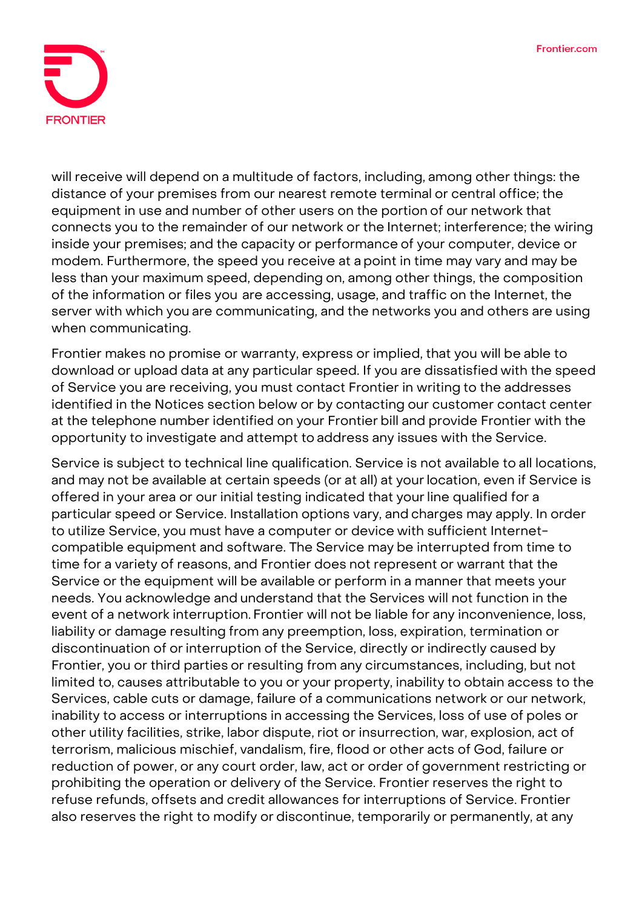

will receive will depend on a multitude of factors, including, among other things: the distance of your premises from our nearest remote terminal or central office; the equipment in use and number of other users on the portion of our network that connects you to the remainder of our network or the Internet; interference; the wiring inside your premises; and the capacity or performance of your computer, device or modem. Furthermore, the speed you receive at a point in time may vary and may be less than your maximum speed, depending on, among other things, the composition of the information or files you are accessing, usage, and traffic on the Internet, the server with which you are communicating, and the networks you and others are using when communicating.

Frontier makes no promise or warranty, express or implied, that you will be able to download or upload data at any particular speed. If you are dissatisfied with the speed of Service you are receiving, you must contact Frontier in writing to the addresses identified in the Notices section below or by contacting our customer contact center at the telephone number identified on your Frontier bill and provide Frontier with the opportunity to investigate and attempt to address any issues with the Service.

Service is subject to technical line qualification. Service is not available to all locations, and may not be available at certain speeds (or at all) at yourlocation, even if Service is offered in your area or our initial testing indicated that yourline qualified for a particular speed or Service. Installation options vary, and charges may apply. In order to utilize Service, you must have a computer or device with sufficient Internetcompatible equipment and software. The Service may be interrupted from time to time for a variety of reasons, and Frontier does not represent or warrant that the Service or the equipment will be available or perform in a manner that meets your needs. You acknowledge and understand that the Services will not function in the event of a network interruption. Frontier will not be liable for any inconvenience, loss, liability or damage resulting from any preemption, loss, expiration, termination or discontinuation of or interruption of the Service, directly or indirectly caused by Frontier, you or third parties or resulting from any circumstances, including, but not limited to, causes attributable to you or your property, inability to obtain access to the Services, cable cuts or damage, failure of a communications network or our network, inability to access or interruptions in accessing the Services, loss of use of poles or other utility facilities, strike, labor dispute, riot or insurrection, war, explosion, act of terrorism, malicious mischief, vandalism, fire, flood or other acts of God, failure or reduction of power, or any court order, law, act or order of government restricting or prohibiting the operation or delivery of the Service. Frontier reserves the right to refuse refunds, offsets and credit allowances for interruptions of Service. Frontier also reserves the right to modify or discontinue, temporarily or permanently, at any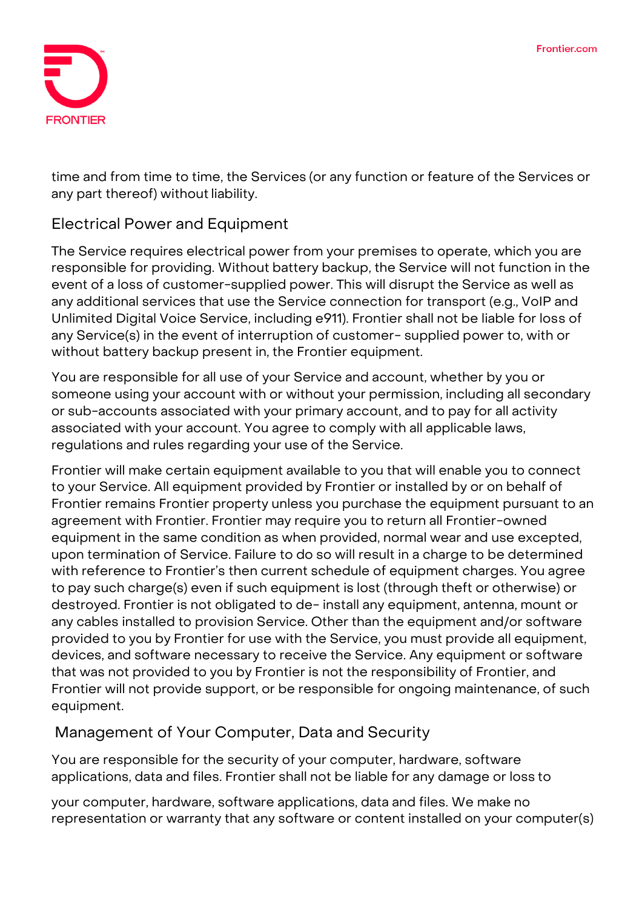

time and from time to time, the Services (or any function or feature of the Services or any part thereof) without liability.

#### **Electrical Power and Equipment**

The Service requires electrical power from your premises to operate, which you are responsible for providing. Without battery backup, the Service will not function in the event of a loss of customer-supplied power. This will disrupt the Service as well as any additional services that use the Service connection for transport (e.g., VoIP and Unlimited Digital Voice Service, including e911). Frontier shall not be liable for loss of any Service(s) in the event of interruption of customer- supplied power to, with or without battery backup present in, the Frontier equipment.

You are responsible for all use of your Service and account, whether by you or someone using your account with or without your permission, including all secondary or sub-accounts associated with your primary account, and to pay for all activity associated with your account. You agree to comply with all applicable laws, regulations and rules regarding your use of the Service.

Frontier will make certain equipment available to you that will enable you to connect to your Service. All equipment provided by Frontier or installed by or on behalf of Frontier remains Frontier property unless you purchase the equipment pursuant to an agreement with Frontier. Frontier may require you to return all Frontier-owned equipment in the same condition as when provided, normal wear and use excepted, upon termination of Service. Failure to do so will result in a charge to be determined with reference to Frontier's then current schedule of equipment charges. You agree to pay such charge(s) even if such equipment is lost (through theft or otherwise) or destroyed. Frontier is not obligated to de- install any equipment, antenna, mount or any cables installed to provision Service. Other than the equipment and/or software provided to you by Frontier for use with the Service, you must provide all equipment, devices, and software necessary to receive the Service. Any equipment or software that was not provided to you by Frontier is not the responsibility of Frontier, and Frontier will not provide support, or be responsible for ongoing maintenance, of such equipment.

# **Management of Your Computer, Data and Security**

You are responsible for the security of your computer, hardware, software applications, data and files. Frontier shall not be liable for any damage or loss to

your computer, hardware, software applications, data and files. We make no representation or warranty that any software or content installed on your computer(s)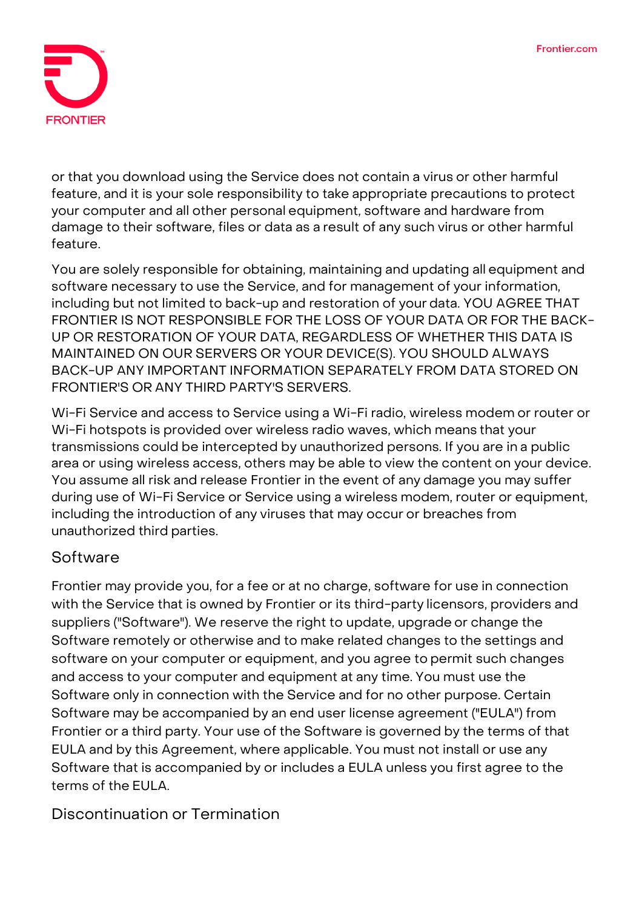

or that you download using the Service does not contain a virus or other harmful feature, and it is your sole responsibility to take appropriate precautions to protect your computer and all other personal equipment, software and hardware from damage to their software, files or data as a result of any such virus or other harmful feature.

You are solely responsible for obtaining, maintaining and updating all equipment and software necessary to use the Service, and for management of your information, including but not limited to back-up and restoration of your data. **YOU AGREE THAT FRONTIER IS NOT RESPONSIBLE FOR THE LOSS OF YOUR DATA OR FOR THE BACK-UP OR RESTORATION OF YOUR DATA, REGARDLESS OF WHETHER THIS DATA IS MAINTAINED ON OUR SERVERS OR YOUR DEVICE(S). YOU SHOULD ALWAYS BACK-UP ANY IMPORTANT INFORMATION SEPARATELY FROM DATA STORED ON FRONTIER'S OR ANY THIRD PARTY'S SERVERS.**

Wi-Fi Service and access to Service using a Wi-Fi radio, wireless modem or router or Wi-Fi hotspots is provided over wireless radio waves, which means that your transmissions could be intercepted by unauthorized persons. If you are in a public area or using wireless access, others may be able to view the content on your device. You assume all risk and release Frontier in the event of any damage you may suffer during use of Wi-Fi Service or Service using a wireless modem, router or equipment, including the introduction of any viruses that may occur or breaches from unauthorized third parties.

#### **Software**

Frontier may provide you, for a fee or at no charge, software for use in connection with the Service that is owned by Frontier or its third-party licensors, providers and suppliers ("Software"). We reserve the right to update, upgrade or change the Software remotely or otherwise and to make related changes to the settings and software on your computer or equipment, and you agree to permit such changes and access to your computer and equipment at any time. You must use the Software only in connection with the Service and for no other purpose. Certain Software may be accompanied by an end user license agreement ("EULA") from Frontier or a third party. Your use of the Software is governed by the terms of that EULA and by this Agreement, where applicable. You must not install or use any Software that is accompanied by or includes a EULA unless you first agree to the terms of the EULA.

**Discontinuation or Termination**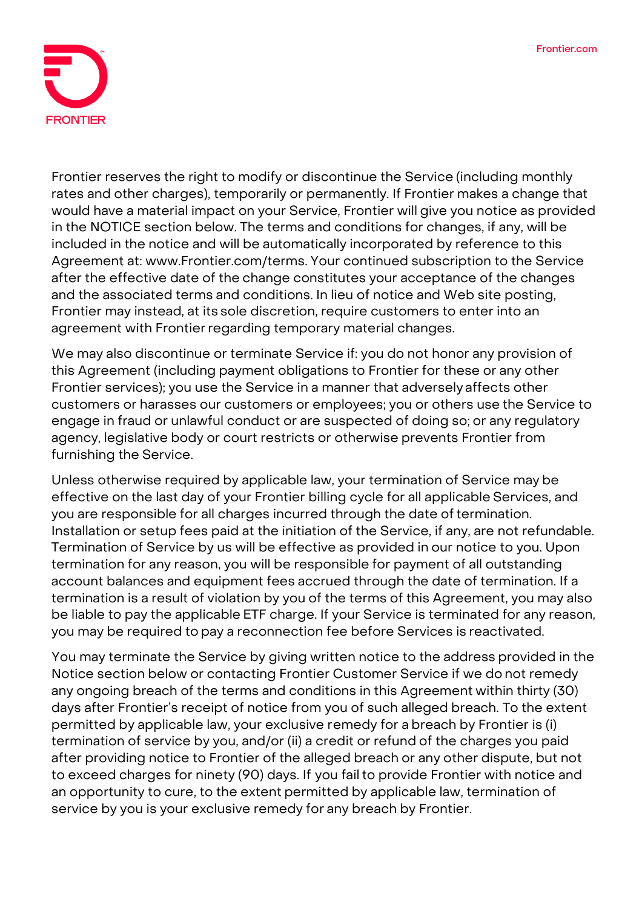

Frontier reserves the right to modify or discontinue the Service (including monthly rates and other charges), temporarily or permanently. If Frontier makes a change that would have a material impact on your Service, Frontier will give you notice as provided in the NOTICE section below. The terms and conditions for changes, if any, will be included in the notice and will be automatically incorporated by reference to this Agreement [at: www.Frontier.com/terms.](http://www.frontier.com/terms) Your continued subscription to the Service after the effective date of the change constitutes your acceptance of the changes and the associated terms and conditions. In lieu of notice and Web site posting, Frontier may instead, at its sole discretion, require customers to enter into an agreement with Frontier regarding temporary material changes.

We may also discontinue or terminate Service if: you do not honor any provision of this Agreement (including payment obligations to Frontier for these or any other Frontier services); you use the Service in a manner that adversely affects other customers or harasses our customers or employees; you or others use the Service to engage in fraud or unlawful conduct or are suspected of doing so; or any regulatory agency, legislative body or court restricts or otherwise prevents Frontier from furnishing the Service.

Unless otherwise required by applicable law, your termination of Service may be effective on the last day of your Frontier billing cycle for all applicable Services, and you are responsible for all charges incurred through the date of termination. Installation or setup fees paid at the initiation of the Service, if any, are not refundable. Termination of Service by us will be effective as provided in our notice to you. Upon termination for any reason, you will be responsible for payment of all outstanding account balances and equipment fees accrued through the date of termination. If a termination is a result of violation by you of the terms of this Agreement, you may also be liable to pay the applicable ETF charge. If your Service is terminated for any reason, you may be required to pay a reconnection fee before Services is reactivated.

You may terminate the Service by giving written notice to the address provided in the Notice section below or contacting Frontier Customer Service if we do not remedy any ongoing breach of the terms and conditions in this Agreement within thirty (30) days after Frontier's receipt of notice from you of such alleged breach. **To the extent permitted by applicable law, your exclusive remedy for a breach by Frontier is (i) termination of service by you, and/or (ii) a credit or refund of the charges you paid after providing notice to Frontier of the alleged breach or any other dispute, but not to exceed charges for ninety (90) days. If you failto provide Frontier with notice and an opportunity to cure, to the extent permitted by applicable law, termination of service by you is your exclusive remedy for any breach by Frontier.**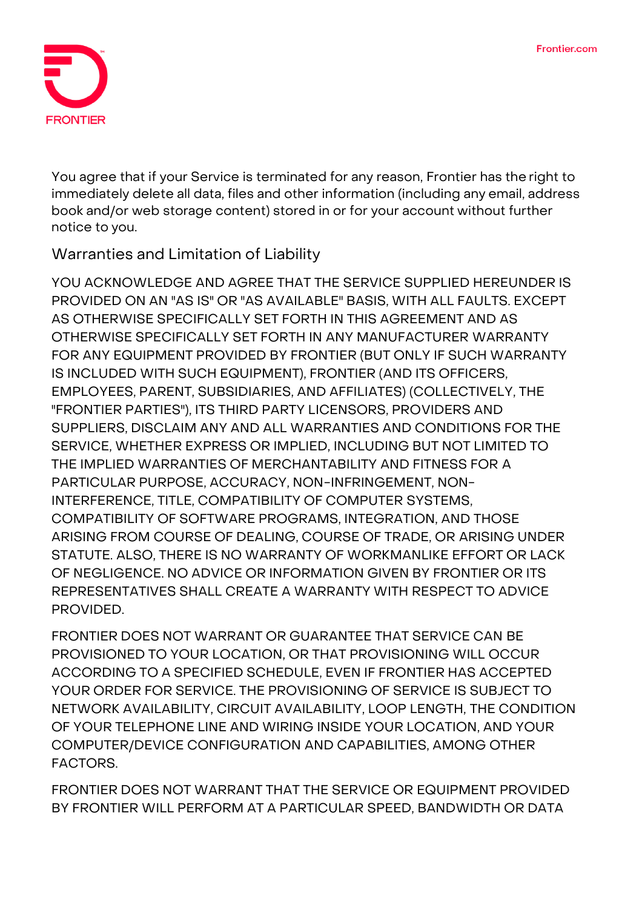

You agree that if your Service is terminated for any reason, Frontier has the right to immediately delete all data, files and other information (including any email, address book and/or web storage content) stored in or for your account without further notice to you.

## **Warranties and Limitation of Liability**

**YOU ACKNOWLEDGE AND AGREE THAT THE SERVICE SUPPLIED HEREUNDER IS PROVIDED ON AN "AS IS" OR "AS AVAILABLE" BASIS, WITH ALL FAULTS. EXCEPT AS OTHERWISE SPECIFICALLY SET FORTH IN THIS AGREEMENT AND AS OTHERWISE SPECIFICALLY SET FORTH IN ANY MANUFACTURER WARRANTY FOR ANY EQUIPMENT PROVIDED BY FRONTIER (BUT ONLY IF SUCH WARRANTY IS INCLUDED WITH SUCH EQUIPMENT), FRONTIER (AND ITS OFFICERS, EMPLOYEES, PARENT, SUBSIDIARIES, AND AFFILIATES) (COLLECTIVELY, THE "FRONTIER PARTIES"), ITS THIRD PARTY LICENSORS, PROVIDERS AND SUPPLIERS, DISCLAIM ANY AND ALL WARRANTIES AND CONDITIONS FOR THE SERVICE, WHETHER EXPRESS OR IMPLIED, INCLUDING BUT NOT LIMITED TO THE IMPLIED WARRANTIES OF MERCHANTABILITY AND FITNESS FOR A PARTICULAR PURPOSE, ACCURACY, NON-INFRINGEMENT, NON-INTERFERENCE, TITLE, COMPATIBILITY OF COMPUTER SYSTEMS, COMPATIBILITY OF SOFTWARE PROGRAMS, INTEGRATION, AND THOSE ARISING FROM COURSE OF DEALING, COURSE OF TRADE, OR ARISING UNDER STATUTE. ALSO, THERE IS NO WARRANTY OF WORKMANLIKE EFFORT OR LACK OF NEGLIGENCE. NO ADVICE OR INFORMATION GIVEN BY FRONTIER OR ITS REPRESENTATIVES SHALL CREATE A WARRANTY WITH RESPECT TO ADVICE PROVIDED.**

**FRONTIER DOES NOT WARRANT OR GUARANTEE THAT SERVICE CAN BE PROVISIONED TO YOUR LOCATION, OR THAT PROVISIONING WILL OCCUR ACCORDING TO A SPECIFIED SCHEDULE, EVEN IF FRONTIER HAS ACCEPTED YOUR ORDER FOR SERVICE. THE PROVISIONING OF SERVICE IS SUBJECT TO NETWORK AVAILABILITY, CIRCUIT AVAILABILITY, LOOP LENGTH, THE CONDITION OF YOUR TELEPHONE LINE AND WIRING INSIDE YOUR LOCATION, AND YOUR COMPUTER/DEVICE CONFIGURATION AND CAPABILITIES, AMONG OTHER FACTORS.**

**FRONTIER DOES NOT WARRANT THAT THE SERVICE OR EQUIPMENT PROVIDED BY FRONTIER WILL PERFORM AT A PARTICULAR SPEED, BANDWIDTH OR DATA**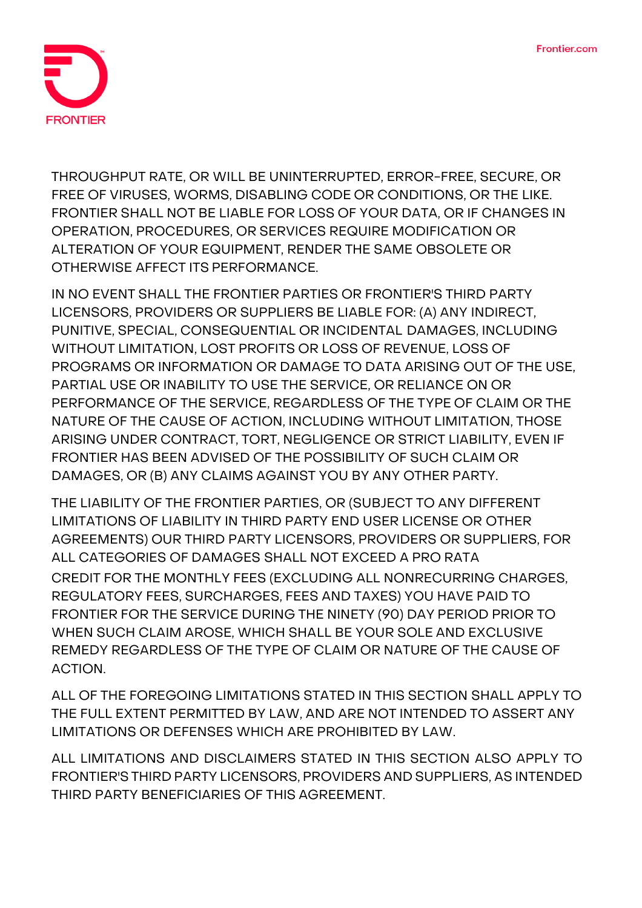

**THROUGHPUT RATE, OR WILL BE UNINTERRUPTED, ERROR-FREE, SECURE, OR FREE OF VIRUSES, WORMS, DISABLING CODE OR CONDITIONS, OR THE LIKE. FRONTIER SHALL NOT BE LIABLE FOR LOSS OF YOUR DATA, OR IF CHANGES IN OPERATION, PROCEDURES, OR SERVICES REQUIRE MODIFICATION OR ALTERATION OF YOUR EQUIPMENT, RENDER THE SAME OBSOLETE OR OTHERWISE AFFECT ITS PERFORMANCE.**

**IN NO EVENT SHALL THE FRONTIER PARTIES OR FRONTIER'S THIRD PARTY LICENSORS, PROVIDERS OR SUPPLIERS BE LIABLE FOR: (A) ANY INDIRECT, PUNITIVE, SPECIAL, CONSEQUENTIAL OR INCIDENTAL DAMAGES, INCLUDING WITHOUT LIMITATION, LOST PROFITS OR LOSS OF REVENUE, LOSS OF PROGRAMS OR INFORMATION OR DAMAGE TO DATA ARISING OUT OF THE USE, PARTIAL USE OR INABILITY TO USE THE SERVICE, OR RELIANCE ON OR PERFORMANCE OF THE SERVICE, REGARDLESS OF THE TYPE OF CLAIM OR THE NATURE OF THE CAUSE OF ACTION, INCLUDING WITHOUT LIMITATION, THOSE ARISING UNDER CONTRACT, TORT, NEGLIGENCE OR STRICT LIABILITY, EVEN IF FRONTIER HAS BEEN ADVISED OF THE POSSIBILITY OF SUCH CLAIM OR DAMAGES, OR (B) ANY CLAIMS AGAINST YOU BY ANY OTHER PARTY.**

**THE LIABILITY OF THE FRONTIER PARTIES, OR (SUBJECT TO ANY DIFFERENT LIMITATIONS OF LIABILITY IN THIRD PARTY END USER LICENSE OR OTHER AGREEMENTS) OUR THIRD PARTY LICENSORS, PROVIDERS OR SUPPLIERS, FOR ALL CATEGORIES OF DAMAGES SHALL NOT EXCEED A PRO RATA CREDIT FOR THE MONTHLY FEES (EXCLUDING ALL NONRECURRING CHARGES, REGULATORY FEES, SURCHARGES, FEES AND TAXES) YOU HAVE PAID TO FRONTIER FOR THE SERVICE DURING THE NINETY (90) DAY PERIOD PRIOR TO WHEN SUCH CLAIM AROSE, WHICH SHALL BE YOUR SOLE AND EXCLUSIVE REMEDY REGARDLESS OF THE TYPE OF CLAIM OR NATURE OF THE CAUSE OF ACTION.**

**ALL OF THE FOREGOING LIMITATIONS STATED IN THIS SECTION SHALL APPLY TO THE FULL EXTENT PERMITTED BY LAW, AND ARE NOT INTENDED TO ASSERT ANY LIMITATIONS OR DEFENSES WHICH ARE PROHIBITED BY LAW.**

**ALL LIMITATIONS AND DISCLAIMERS STATED IN THIS SECTION ALSO APPLY TO FRONTIER'S THIRD PARTY LICENSORS, PROVIDERS AND SUPPLIERS, AS INTENDED THIRD PARTY BENEFICIARIES OF THIS AGREEMENT.**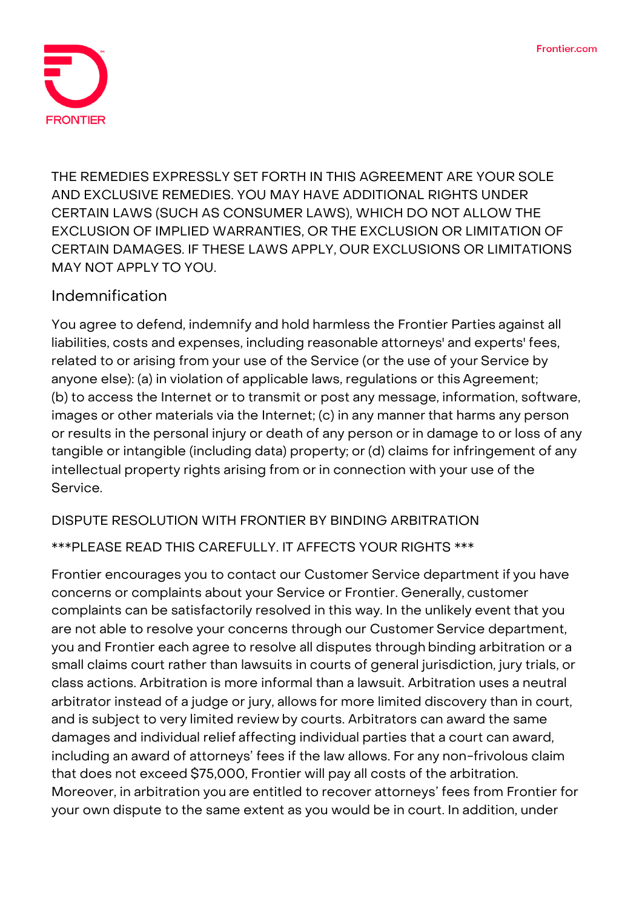

**THE REMEDIES EXPRESSLY SET FORTH IN THIS AGREEMENT ARE YOUR SOLE AND EXCLUSIVE REMEDIES. YOU MAY HAVE ADDITIONAL RIGHTS UNDER CERTAIN LAWS (SUCH AS CONSUMER LAWS), WHICH DO NOT ALLOW THE EXCLUSION OF IMPLIED WARRANTIES, OR THE EXCLUSION OR LIMITATION OF CERTAIN DAMAGES. IF THESE LAWS APPLY, OUR EXCLUSIONS OR LIMITATIONS MAY NOT APPLY TO YOU.**

# **Indemnification**

You agree to defend, indemnify and hold harmless the Frontier Parties against all liabilities, costs and expenses, including reasonable attorneys' and experts' fees, related to or arising from your use of the Service (or the use of your Service by anyone else): (a) in violation of applicable laws, regulations or this Agreement; (b) to access the Internet or to transmit or post any message, information, software, images or other materials via the Internet; (c) in any manner that harms any person or results in the personal injury or death of any person or in damage to or loss of any tangible or intangible (including data) property; or (d) claims for infringement of any intellectual property rights arising from or in connection with your use of the Service.

#### **DISPUTE RESOLUTION WITH FRONTIER BY BINDING ARBITRATION**

#### **\*\*\*PLEASE READ THIS CAREFULLY. IT AFFECTS YOUR RIGHTS \*\*\***

Frontier encourages you to contact our Customer Service department if you have concerns or complaints about your Service or Frontier. Generally, customer complaints can be satisfactorily resolved in this way. In the unlikely event that you are not able to resolve your concerns through our Customer Service department, you and Frontier each agree to resolve all disputes through binding arbitration or a small claims court rather than lawsuits in courts of general jurisdiction, jury trials, or class actions. Arbitration is more informal than a lawsuit. Arbitration uses a neutral arbitrator instead of a judge or jury, allows for more limited discovery than in court, and is subject to very limited review by courts. Arbitrators can award the same damages and individual relief affecting individual parties that a court can award, including an award of attorneys' fees if the law allows. For any non-frivolous claim that does not exceed \$75,000, Frontier will pay all costs of the arbitration. Moreover, in arbitration you are entitled to recover attorneys' fees from Frontier for your own dispute to the same extent as you would be in court. In addition, under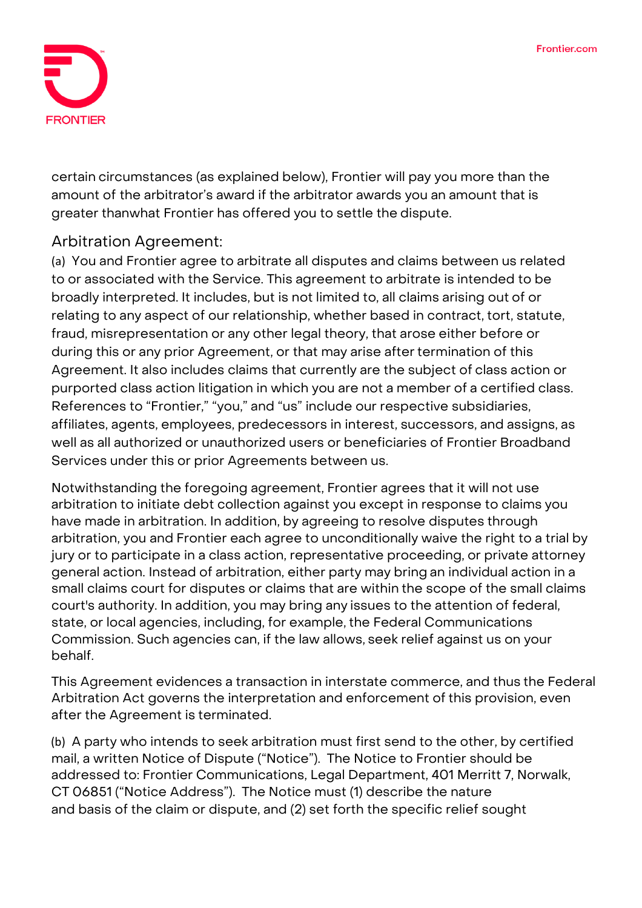

certain circumstances (as explained below), Frontier will pay you more than the amount of the arbitrator's award if the arbitrator awards you an amount that is greater thanwhat Frontier has offered you to settle the dispute.

# **Arbitration Agreement:**

(a) You and Frontier agree to arbitrate **all disputes and claims** between us related to or associated with the Service. This agreement to arbitrate is intended to be broadly interpreted. It includes, but is not limited to, all claims arising out of or relating to any aspect of our relationship, whether based in contract, tort, statute, fraud, misrepresentation or any other legal theory, that arose either before or during this or any prior Agreement, or that may arise after termination of this Agreement. It also includes claims that currently are the subject of class action or purported class action litigation in which you are not a member of a certified class. References to "Frontier," "you," and "us" include our respective subsidiaries, affiliates, agents, employees, predecessors in interest, successors, and assigns, as well as all authorized or unauthorized users or beneficiaries of Frontier Broadband Services under this or prior Agreements between us.

Notwithstanding the foregoing agreement, Frontier agrees that it will not use arbitration to initiate debt collection against you except in response to claims you have made in arbitration. In addition, by agreeing to resolve disputes through arbitration, **you and Frontier each agree to unconditionally waive the right to a trial by jury or to participate in a class action, representative proceeding, or private attorney general action.** Instead of arbitration, either party may bring an individual action in a small claims court for disputes or claims that are within the scope of the small claims court's authority. In addition, you may bring any issues to the attention of federal, state, or local agencies, including, for example, the Federal Communications Commission. Such agencies can, if the law allows, seek relief against us on your behalf.

This Agreement evidences a transaction in interstate commerce, and thus the Federal Arbitration Act governs the interpretation and enforcement of this provision, even after the Agreement is terminated.

(b) A party who intends to seek arbitration must first send to the other, by certified mail, a written Notice of Dispute ("Notice"). The Notice to Frontier should be addressed to: Frontier Communications, Legal Department, 401 Merritt 7, Norwalk, CT 06851 ("Notice Address"). The Notice must (1) describe the nature and basis of the claim or dispute, and (2) set forth the specific relief sought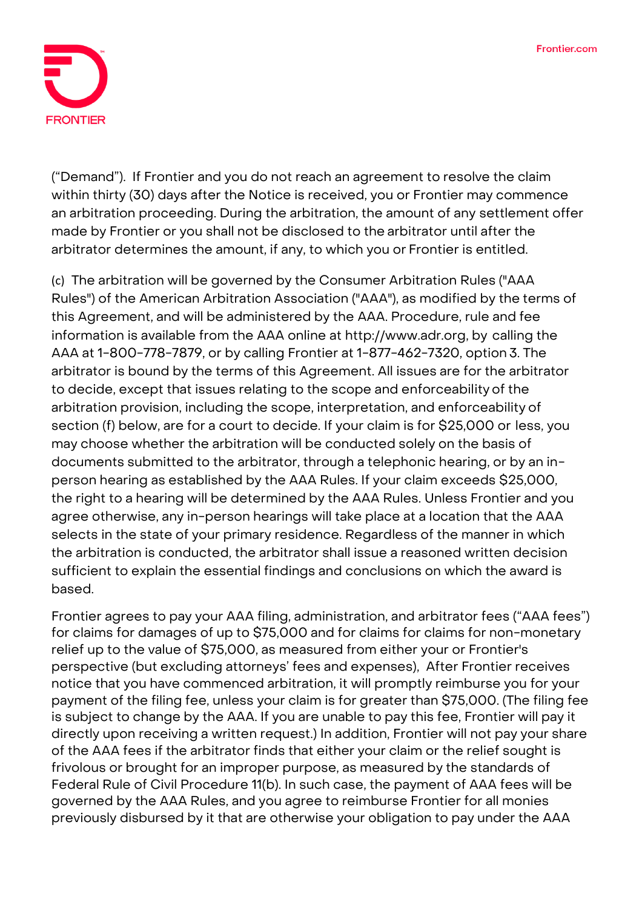

("Demand"). If Frontier and you do not reach an agreement to resolve the claim within thirty (30) days after the Notice is received, you or Frontier may commence an arbitration proceeding. During the arbitration, the amount of any settlement offer made by Frontier or you shall not be disclosed to the arbitrator until after the arbitrator determines the amount, if any, to which you or Frontier is entitled.

(c) The arbitration will be governed by the Consumer Arbitration Rules ("AAA Rules") of the American Arbitration Association ("AAA"), as modified by the terms of this Agreement, and will be administered by the AAA. Procedure, rule and fee information is available from the AAA online at [http://www.adr.org,](http://www.adr.org/) by calling the AAA at 1-800-778-7879, or by calling Frontier at 1-877-462-7320, option 3. The arbitrator is bound by the terms of this Agreement. All issues are for the arbitrator to decide, except that issues relating to the scope and enforceability of the arbitration provision, including the scope, interpretation, and enforceability of section (f) below, are for a court to decide. If your claim is for \$25,000 or less, you may choose whether the arbitration will be conducted solely on the basis of documents submitted to the arbitrator, through a telephonic hearing, or by an inperson hearing as established by the AAA Rules. If your claim exceeds \$25,000, the right to a hearing will be determined by the AAA Rules. Unless Frontier and you agree otherwise, any in-person hearings will take place at a location that the AAA selects in the state of your primary residence. Regardless of the manner in which the arbitration is conducted, the arbitrator shall issue a reasoned written decision sufficient to explain the essential findings and conclusions on which the award is based.

Frontier agrees to pay your AAA filing, administration, and arbitrator fees ("AAA fees") for claims for damages of up to \$75,000 and for claims for claims for non-monetary relief up to the value of \$75,000, as measured from either your or Frontier's perspective (but excluding attorneys' fees and expenses), After Frontier receives notice that you have commenced arbitration, it will promptly reimburse you for your payment of the filing fee, unless your claim is for greater than \$75,000. (The filing fee is subject to change by the AAA. If you are unable to pay this fee, Frontier will pay it directly upon receiving a written request.) In addition, Frontier will not pay your share of the AAA fees if the arbitrator finds that either your claim or the relief sought is frivolous or brought for an improper purpose, as measured by the standards of Federal Rule of Civil Procedure 11(b). In such case, the payment of AAA fees will be governed by the AAA Rules, and you agree to reimburse Frontier for all monies previously disbursed by it that are otherwise your obligation to pay under the AAA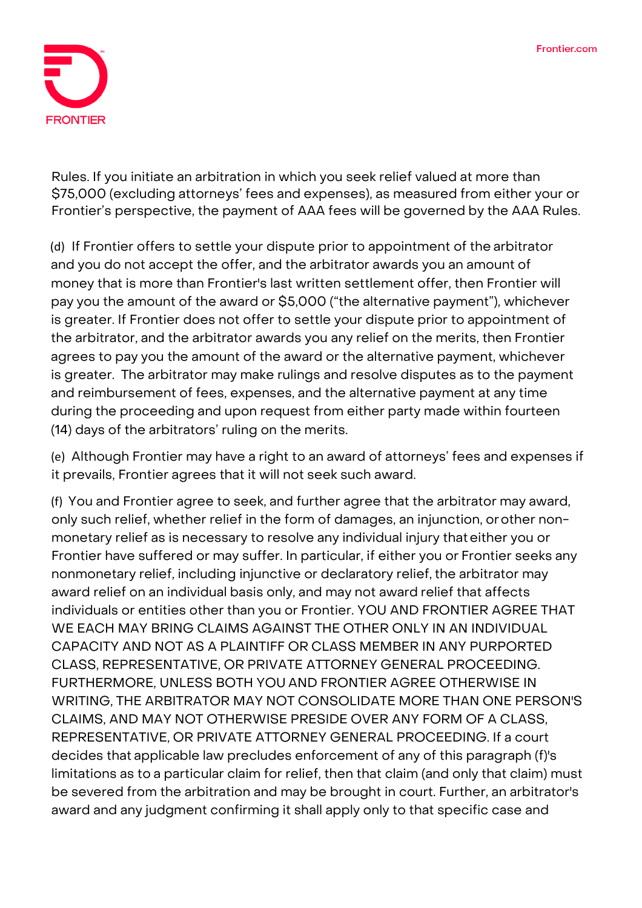

Rules. If you initiate an arbitration in which you seek relief valued at more than \$75,000 (excluding attorneys' fees and expenses), as measured from either your or Frontier's perspective, the payment of AAA fees will be governed by the AAA Rules.

(d) If Frontier offers to settle your dispute prior to appointment of the arbitrator and you do not accept the offer, and the arbitrator awards you an amount of money that is more than Frontier's last written settlement offer, then Frontier will pay you the amount of the award or \$5,000 ("the alternative payment"), whichever is greater. If Frontier does not offer to settle your dispute prior to appointment of the arbitrator, and the arbitrator awards you any relief on the merits, then Frontier agrees to pay you the amount of the award or the alternative payment, whichever is greater. The arbitrator may make rulings and resolve disputes as to the payment and reimbursement of fees, expenses, and the alternative payment at any time during the proceeding and upon request from either party made within fourteen (14) days of the arbitrators' ruling on the merits.

(e) Although Frontier may have a right to an award of attorneys' fees and expenses if it prevails, Frontier agrees that it will not seek such award.

(f) You and Frontier agree to seek, and further agree that the arbitrator may award, only such relief, whether relief in the form of damages, an injunction, orother nonmonetary relief as is necessary to resolve any individual injury thateither you or Frontier have suffered or may suffer. In particular, if either you or Frontier seeks any nonmonetary relief, including injunctive or declaratory relief, the arbitrator may award relief on an individual basis only, and may not award relief that affects individuals or entities other than you or Frontier. YOU AND FRONTIER AGREE THAT WE EACH MAY BRING CLAIMS AGAINST THE OTHER ONLY IN AN INDIVIDUAL CAPACITY AND NOT AS A PLAINTIFF OR CLASS MEMBER IN ANY PURPORTED CLASS, REPRESENTATIVE, OR PRIVATE ATTORNEY GENERAL PROCEEDING. FURTHERMORE, UNLESS BOTH YOU AND FRONTIER AGREE OTHERWISE IN WRITING, THE ARBITRATOR MAY NOT CONSOLIDATE MORE THAN ONE PERSON'S CLAIMS, AND MAY NOT OTHERWISE PRESIDE OVER ANY FORM OF A CLASS, REPRESENTATIVE, OR PRIVATE ATTORNEY GENERAL PROCEEDING. If a court decides that applicable law precludes enforcement of any of this paragraph (f)'s limitations as to a particular claim for relief, then that claim (and only that claim) must be severed from the arbitration and may be brought in court. Further, an arbitrator's award and any judgment confirming it shall apply only to that specific case and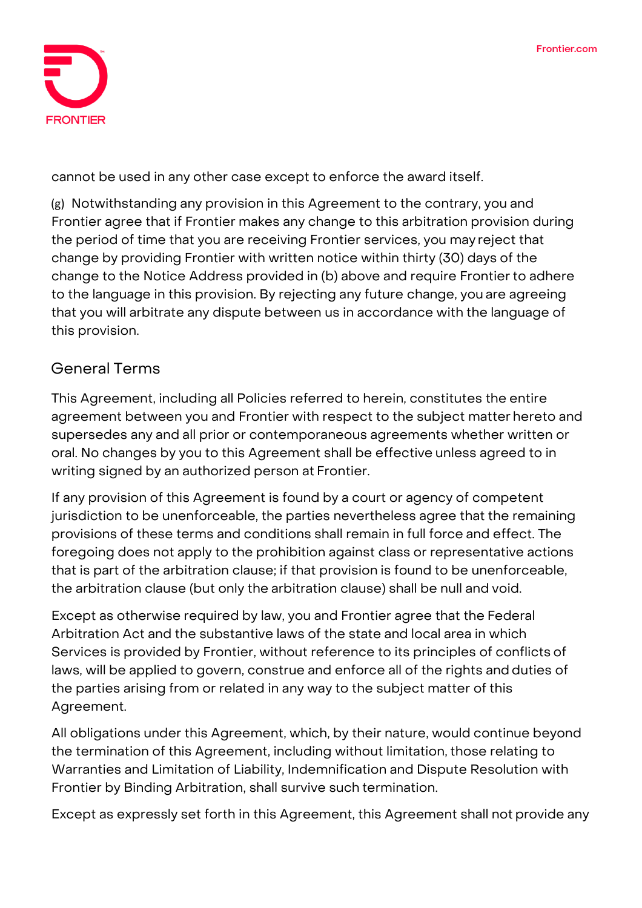

cannot be used in any other case except to enforce the award itself.

(g) Notwithstanding any provision in this Agreement to the contrary, you and Frontier agree that if Frontier makes any change to this arbitration provision during the period of time that you are receiving Frontier services, you may reject that change by providing Frontier with written notice within thirty (30) days of the change to the Notice Address provided in (b) above and require Frontier to adhere to the language in this provision. By rejecting any future change, you are agreeing that you will arbitrate any dispute between us in accordance with the language of this provision.

## **General Terms**

This Agreement, including all Policies referred to herein, constitutes the entire agreement between you and Frontier with respect to the subject matter hereto and supersedes any and all prior or contemporaneous agreements whether written or oral. No changes by you to this Agreement shall be effective unless agreed to in writing signed by an authorized person at Frontier.

If any provision of this Agreement is found by a court or agency of competent jurisdiction to be unenforceable, the parties nevertheless agree that the remaining provisions of these terms and conditions shall remain in full force and effect. The foregoing does not apply to the prohibition against class or representative actions that is part of the arbitration clause; if that provision is found to be unenforceable, the arbitration clause (but only the arbitration clause) shall be null and void.

Except as otherwise required by law, you and Frontier agree that the Federal Arbitration Act and the substantive laws of the state and local area in which Services is provided by Frontier, without reference to its principles of conflicts of laws, will be applied to govern, construe and enforce all of the rights and duties of the parties arising from or related in any way to the subject matter of this Agreement.

All obligations under this Agreement, which, by their nature, would continue beyond the termination of this Agreement, including without limitation, those relating to Warranties and Limitation of Liability, Indemnification and Dispute Resolution with Frontier by Binding Arbitration, shall survive such termination.

Except as expressly set forth in this Agreement, this Agreement shall not provide any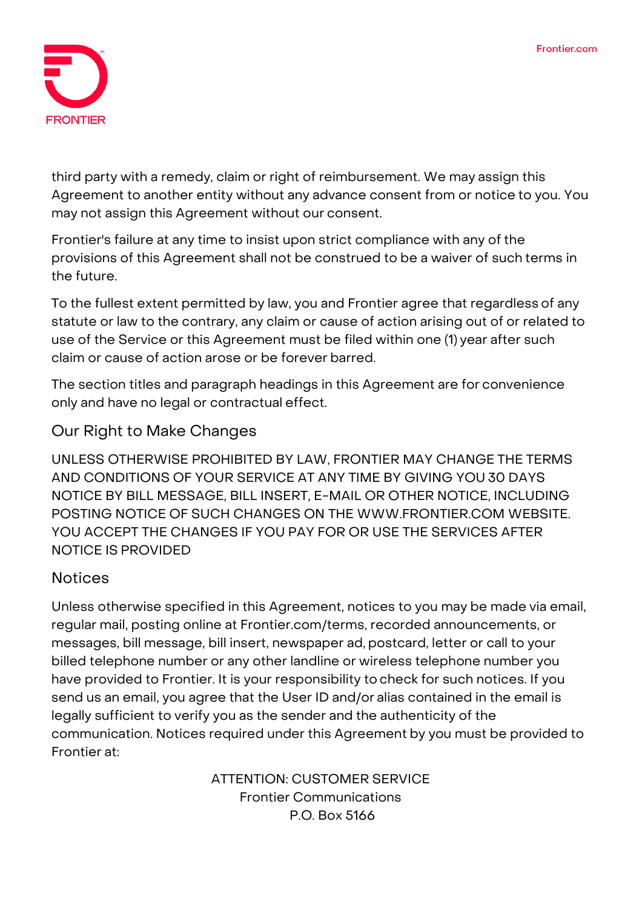

third party with a remedy, claim or right of reimbursement. We may assign this Agreement to another entity without any advance consent from or notice to you. You may not assign this Agreement without our consent.

Frontier's failure at any time to insist upon strict compliance with any of the provisions of this Agreement shall not be construed to be a waiver of such terms in the future.

To the fullest extent permitted by law, you and Frontier agree that regardless of any statute or law to the contrary, any claim or cause of action arising out of or related to use of the Service or this Agreement must be filed within one (1) year after such claim or cause of action arose or be forever barred.

The section titles and paragraph headings in this Agreement are for convenience only and have no legal or contractual effect.

# **Our Right to Make Changes**

UNLESS OTHERWISE PROHIBITED BY LAW, FRONTIER MAY CHANGE THE TERMS AND CONDITIONS OF YOUR SERVICE AT ANY TIME BY GIVING YOU 30 DAYS NOTICE BY BILL MESSAGE, BILL INSERT, E-MAIL OR OTHER NOTICE, INCLUDING POSTING NOTICE OF SUCH CHANGES ON THE [WWW.FRONTIER.COM](http://www.frontier.com/) WEBSITE. YOU ACCEPT THE CHANGES IF YOU PAY FOR OR USE THE SERVICES AFTER NOTICE IS PROVIDED

# **Notices**

Unless otherwise specified in this Agreement, notices to you may be made via email, regular mail, posting online at Frontier.com/terms, recorded announcements, or messages, bill message, bill insert, newspaper ad, postcard, letter or call to your billed telephone number or any other landline or wireless telephone number you have provided to Frontier. It is your responsibility to check for such notices. If you send us an email, you agree that the User ID and/or alias contained in the email is legally sufficient to verify you as the sender and the authenticity of the communication. Notices required under this Agreement by you must be provided to Frontier at:

> **ATTENTION: CUSTOMER SERVICE Frontier Communications P.O. Box 5166**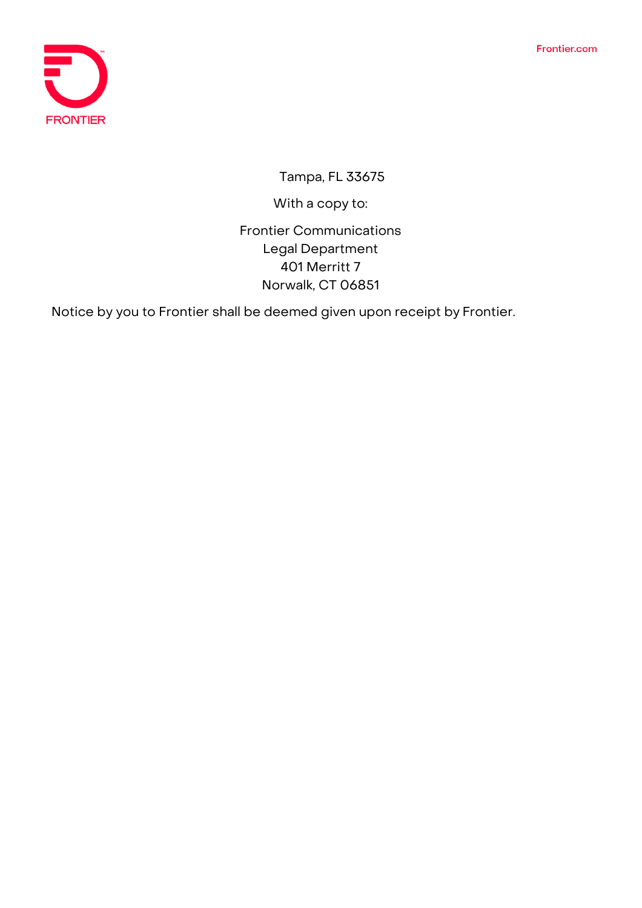

**Tampa, FL 33675**

With a copy to:

**Frontier Communications Legal Department 401 Merritt 7 Norwalk, CT 06851**

Notice by you to Frontier shall be deemed given upon receipt by Frontier.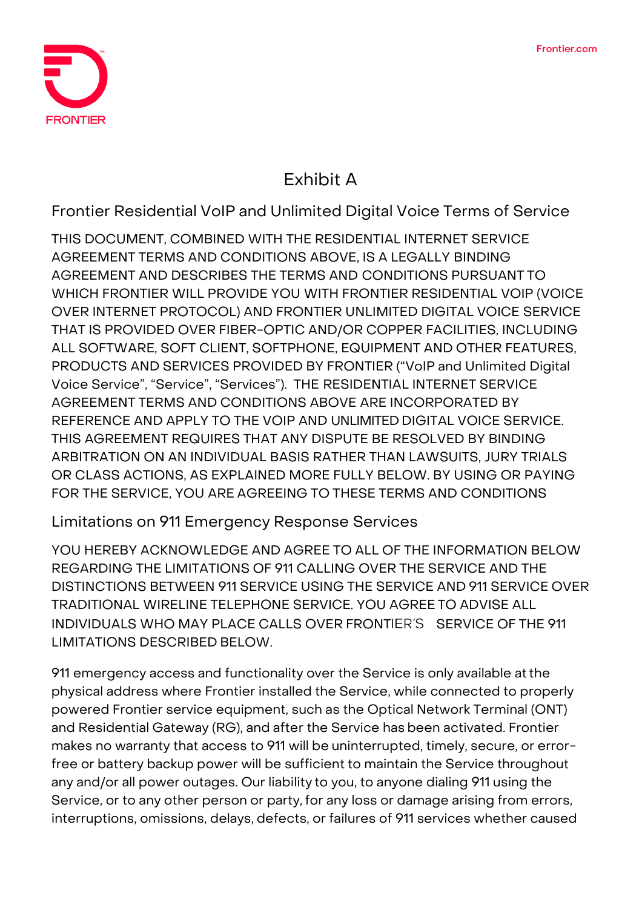

# **Exhibit A**

**Frontier Residential VoIP and Unlimited Digital Voice Terms of Service**

**THIS DOCUMENT, COMBINED WITH THE RESIDENTIAL INTERNET SERVICE AGREEMENT TERMS AND CONDITIONS ABOVE, IS A LEGALLY BINDING AGREEMENT AND DESCRIBES THE TERMS AND CONDITIONS PURSUANT TO WHICH FRONTIER WILL PROVIDE YOU WITH FRONTIER RESIDENTIAL VOIP (VOICE OVER INTERNET PROTOCOL) AND FRONTIER UNLIMITED DIGITAL VOICE SERVICE THAT IS PROVIDED OVER FIBER-OPTIC AND/OR COPPER FACILITIES, INCLUDING ALL SOFTWARE, SOFT CLIENT, SOFTPHONE, EQUIPMENT AND OTHER FEATURES, PRODUCTS AND SERVICES PROVIDED BY FRONTIER ("VoIP and Unlimited Digital Voice Service", "Service", "Services"). THE RESIDENTIAL INTERNET SERVICE AGREEMENT TERMS AND CONDITIONS ABOVE ARE INCORPORATED BY REFERENCE AND APPLY TO THE VOIP AND** UNLIMITED **DIGITAL VOICE SERVICE. THIS AGREEMENT REQUIRES THAT ANY DISPUTE BE RESOLVED BY BINDING ARBITRATION ON AN INDIVIDUAL BASIS RATHER THAN LAWSUITS, JURY TRIALS OR CLASS ACTIONS, AS EXPLAINED MORE FULLY BELOW. BY USING OR PAYING FOR THE SERVICE, YOU ARE AGREEING TO THESE TERMS AND CONDITIONS**

**Limitations on 911 Emergency Response Services**

YOU HEREBY ACKNOWLEDGE AND AGREE TO ALL OF THE INFORMATION BELOW REGARDING THE LIMITATIONS OF 911 CALLING OVER THE SERVICE AND THE DISTINCTIONS BETWEEN 911 SERVICE USING THE SERVICE AND 911 SERVICE OVER TRADITIONAL WIRELINE TELEPHONE SERVICE. YOU AGREE TO ADVISE ALL INDIVIDUALS WHO MAY PLACE CALLS OVER FRONTIER'S SERVICE OF THE 911 LIMITATIONS DESCRIBED BELOW.

911 emergency access and functionality over the Service is only available atthe physical address where Frontier installed the Service, while connected to properly powered Frontier service equipment, such as the Optical Network Terminal (ONT) and Residential Gateway (RG), and after the Service has been activated. Frontier makes no warranty that access to 911 will be uninterrupted, timely, secure, or errorfree or battery backup power will be sufficient to maintain the Service throughout any and/or all power outages. Our liability to you, to anyone dialing 911 using the Service, or to any other person or party, for any loss or damage arising from errors, interruptions, omissions, delays, defects, or failures of 911 services whether caused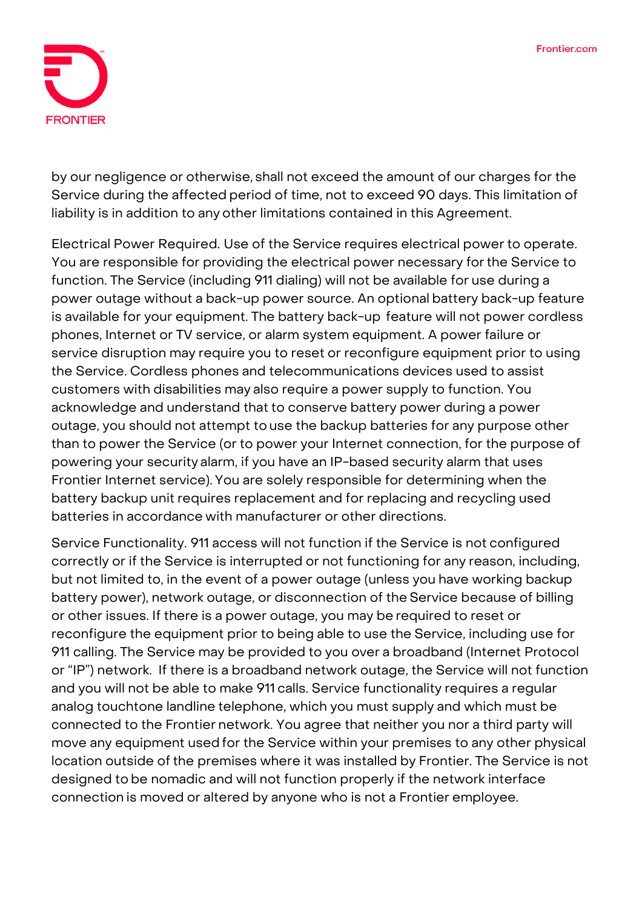

by our negligence or otherwise, shall not exceed the amount of our charges for the Service during the affected period of time, not to exceed 90 days. This limitation of liability is in addition to any other limitations contained in this Agreement.

**Electrical Power Required.** Use of the Service requires electrical power to operate. You are responsible for providing the electrical power necessary forthe Service to function. The Service (including 911 dialing) will not be available for use during a power outage without a back-up power source. An optional battery back-up feature is available for your equipment. The battery back-up feature will not power cordless phones, Internet or TV service, or alarm system equipment. A power failure or service disruption may require you to reset or reconfigure equipment prior to using the Service. Cordless phones and telecommunications devices used to assist customers with disabilities may also require a power supply to function. You acknowledge and understand that to conserve battery power during a power outage, you should not attempt to use the backup batteries for any purpose other than to power the Service (or to power your Internet connection, for the purpose of powering your security alarm, if you have an IP-based security alarm that uses Frontier Internet service). You are solely responsible for determining when the battery backup unit requires replacement and for replacing and recycling used batteries in accordance with manufacturer or other directions.

**Service Functionality.** 911 access will not function if the Service is not configured correctly or if the Service is interrupted or not functioning for any reason, including, but not limited to, in the event of a power outage (unless you have working backup battery power), network outage, or disconnection of the Service because of billing or other issues. If there is a power outage, you may be required to reset or reconfigure the equipment prior to being able to use the Service, including use for 911 calling. The Service may be provided to you over a broadband (Internet Protocol or "IP") network. If there is a broadband network outage, the Service will not function and you will not be able to make 911 calls. Service functionality requires a regular analog touchtone landline telephone, which you must supply and which must be connected to the Frontier network. You agree that neither you nor a third party will move any equipment used for the Service within your premises to any other physical location outside of the premises where it was installed by Frontier. The Service is not designed to be nomadic and will not function properly if the network interface connection is moved or altered by anyone who is not a Frontier employee.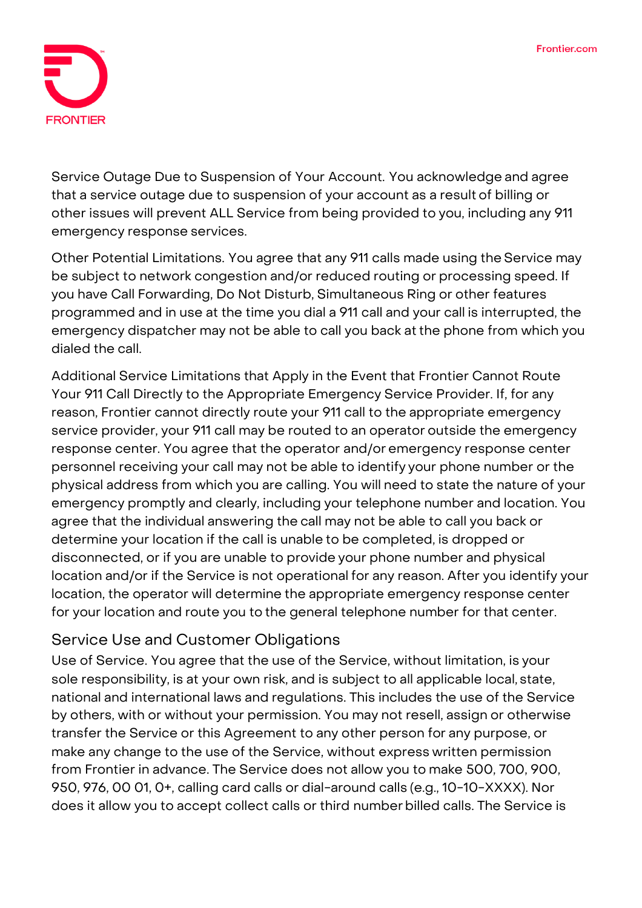

**Service Outage Due to Suspension of Your Account.** You acknowledge and agree that a service outage due to suspension of your account as a result of billing or other issues will prevent ALL Service from being provided to you, including any 911 emergency response services.

**Other Potential Limitations.** You agree that any 911 calls made using the Service may be subject to network congestion and/or reduced routing or processing speed. If you have Call Forwarding, Do Not Disturb, Simultaneous Ring or other features programmed and in use at the time you dial a 911 call and your call is interrupted, the emergency dispatcher may not be able to call you back at the phone from which you dialed the call.

**Additional Service Limitations that Apply in the Event that Frontier Cannot Route Your 911 Call Directly to the Appropriate Emergency Service Provider.** If, for any reason, Frontier cannot directly route your 911 call to the appropriate emergency service provider, your 911 call may be routed to an operator outside the emergency response center. You agree that the operator and/or emergency response center personnel receiving your call may not be able to identify your phone number or the physical address from which you are calling. You will need to state the nature of your emergency promptly and clearly, including your telephone number and location. You agree that the individual answering the call may not be able to call you back or determine your location if the call is unable to be completed, is dropped or disconnected, or if you are unable to provide your phone number and physical location and/or if the Service is not operational for any reason. After you identify your location, the operator will determine the appropriate emergency response center for your location and route you to the general telephone number for that center.

# **Service Use and Customer Obligations**

**Use of Service.** You agree that the use of the Service, without limitation, is your sole responsibility, is at your own risk, and is subject to all applicable local, state, national and international laws and regulations. This includes the use of the Service by others, with or without your permission. You may not resell, assign or otherwise transfer the Service or this Agreement to any other person for any purpose, or make any change to the use of the Service, without express written permission from Frontier in advance. The Service does not allow you to make 500, 700, 900, 950, 976, 00 01, 0+, calling card calls or dial-around calls (e.g., 10-10-XXXX). Nor does it allow you to accept collect calls or third numberbilled calls. The Service is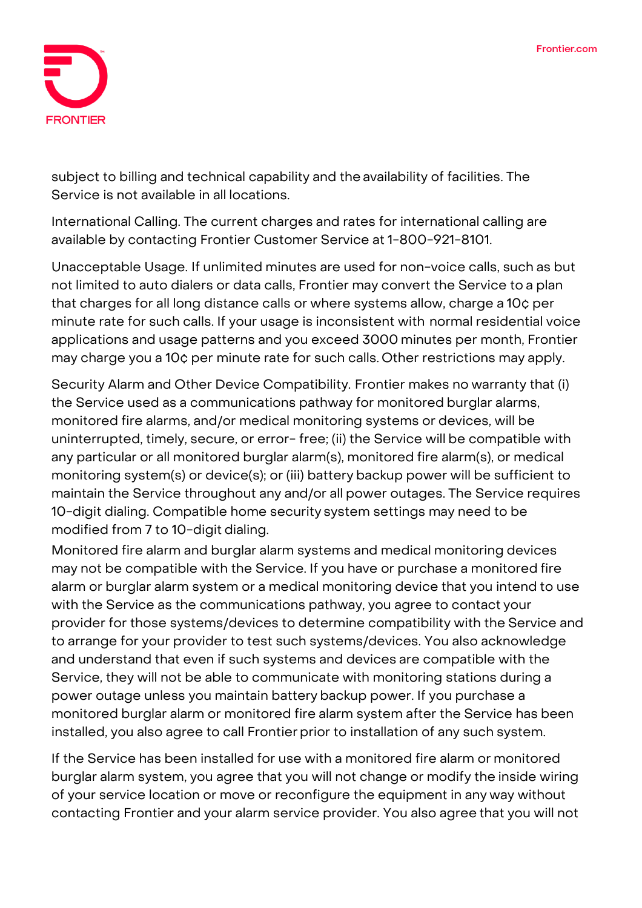

subject to billing and technical capability and the availability of facilities. The Service is not available in all locations.

**International Calling.** The current charges and rates for international calling are available by contacting Frontier Customer Service at 1-800-921-8101.

**Unacceptable Usage.** If unlimited minutes are used for non-voice calls, such as but not limited to auto dialers or data calls, Frontier may convert the Service to a plan that charges for all long distance calls or where systems allow, charge a 10¢ per minute rate for such calls. If your usage is inconsistent with normal residential voice applications and usage patterns and you exceed 3000 minutes per month, Frontier may charge you a 10¢ per minute rate for such calls. Other restrictions may apply.

**Security Alarm and Other Device Compatibility.** Frontier makes no warranty that (i) the Service used as a communications pathway for monitored burglar alarms, monitored fire alarms, and/or medical monitoring systems or devices, will be uninterrupted, timely, secure, or error- free; (ii) the Service will be compatible with any particular or all monitored burglar alarm(s), monitored fire alarm(s), or medical monitoring system(s) or device(s); or (iii) battery backup power will be sufficient to maintain the Service throughout any and/or all power outages. The Service requires 10-digit dialing. Compatible home security system settings may need to be modified from 7 to 10-digit dialing.

Monitored fire alarm and burglar alarm systems and medical monitoring devices may not be compatible with the Service. If you have or purchase a monitored fire alarm or burglar alarm system or a medical monitoring device that you intend to use with the Service as the communications pathway, you agree to contact your provider for those systems/devices to determine compatibility with the Service and to arrange for your provider to test such systems/devices. You also acknowledge and understand that even if such systems and devices are compatible with the Service, they will not be able to communicate with monitoring stations during a power outage unless you maintain battery backup power. If you purchase a monitored burglar alarm or monitored fire alarm system after the Service has been installed, you also agree to call Frontier prior to installation of any such system.

If the Service has been installed for use with a monitored fire alarm or monitored burglar alarm system, you agree that you will not change or modify the inside wiring of your service location or move or reconfigure the equipment in any way without contacting Frontier and your alarm service provider. You also agree that you will not